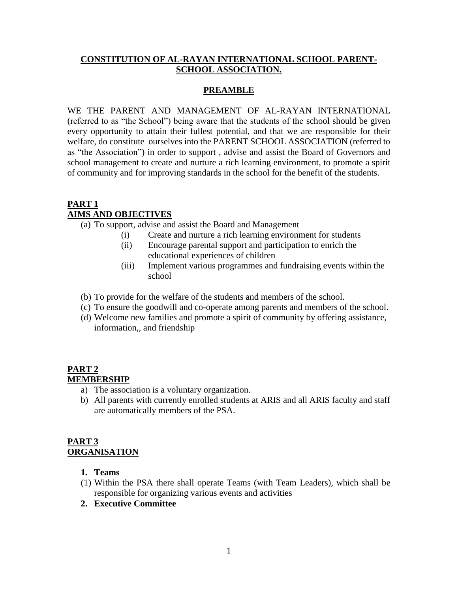### **CONSTITUTION OF AL-RAYAN INTERNATIONAL SCHOOL PARENT-SCHOOL ASSOCIATION.**

### **PREAMBLE**

WE THE PARENT AND MANAGEMENT OF AL-RAYAN INTERNATIONAL (referred to as "the School") being aware that the students of the school should be given every opportunity to attain their fullest potential, and that we are responsible for their welfare, do constitute ourselves into the PARENT SCHOOL ASSOCIATION (referred to as "the Association") in order to support , advise and assist the Board of Governors and school management to create and nurture a rich learning environment, to promote a spirit of community and for improving standards in the school for the benefit of the students.

## **PART 1 AIMS AND OBJECTIVES**

(a) To support, advise and assist the Board and Management

- (i) Create and nurture a rich learning environment for students
- (ii) Encourage parental support and participation to enrich the educational experiences of children
- (iii) Implement various programmes and fundraising events within the school
- (b) To provide for the welfare of the students and members of the school.
- (c) To ensure the goodwill and co-operate among parents and members of the school.
- (d) Welcome new families and promote a spirit of community by offering assistance, information,, and friendship

### **PART 2 MEMBERSHIP**

- a) The association is a voluntary organization.
- b) All parents with currently enrolled students at ARIS and all ARIS faculty and staff are automatically members of the PSA.

### **PART 3 ORGANISATION**

- **1. Teams**
- (1) Within the PSA there shall operate Teams (with Team Leaders), which shall be responsible for organizing various events and activities
- **2. Executive Committee**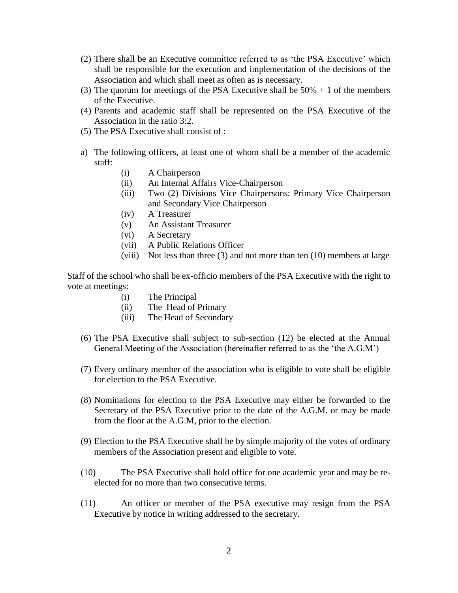- (2) There shall be an Executive committee referred to as 'the PSA Executive' which shall be responsible for the execution and implementation of the decisions of the Association and which shall meet as often as is necessary.
- (3) The quorum for meetings of the PSA Executive shall be  $50\% + 1$  of the members of the Executive.
- (4) Parents and academic staff shall be represented on the PSA Executive of the Association in the ratio 3:2.
- (5) The PSA Executive shall consist of :
- a) The following officers, at least one of whom shall be a member of the academic staff:
	- (i) A Chairperson
	- (ii) An Internal Affairs Vice-Chairperson
	- (iii) Two (2) Divisions Vice Chairpersons: Primary Vice Chairperson and Secondary Vice Chairperson
	- (iv) A Treasurer
	- (v) An Assistant Treasurer
	- (vi) A Secretary
	- (vii) A Public Relations Officer
	- (viii) Not less than three (3) and not more than ten (10) members at large

Staff of the school who shall be ex-officio members of the PSA Executive with the right to vote at meetings:

- (i) The Principal
- (ii) The Head of Primary
- (iii) The Head of Secondary
- (6) The PSA Executive shall subject to sub-section (12) be elected at the Annual General Meeting of the Association (hereinafter referred to as the 'the A.G.M')
- (7) Every ordinary member of the association who is eligible to vote shall be eligible for election to the PSA Executive.
- (8) Nominations for election to the PSA Executive may either be forwarded to the Secretary of the PSA Executive prior to the date of the A.G.M. or may be made from the floor at the A.G.M, prior to the election.
- (9) Election to the PSA Executive shall be by simple majority of the votes of ordinary members of the Association present and eligible to vote.
- (10) The PSA Executive shall hold office for one academic year and may be reelected for no more than two consecutive terms.
- (11) An officer or member of the PSA executive may resign from the PSA Executive by notice in writing addressed to the secretary.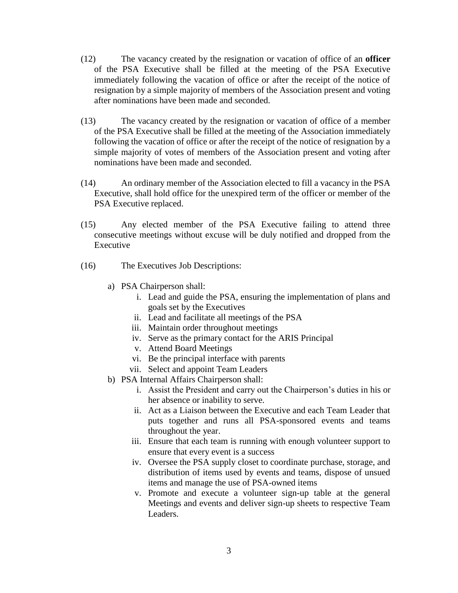- (12) The vacancy created by the resignation or vacation of office of an **officer** of the PSA Executive shall be filled at the meeting of the PSA Executive immediately following the vacation of office or after the receipt of the notice of resignation by a simple majority of members of the Association present and voting after nominations have been made and seconded.
- (13) The vacancy created by the resignation or vacation of office of a member of the PSA Executive shall be filled at the meeting of the Association immediately following the vacation of office or after the receipt of the notice of resignation by a simple majority of votes of members of the Association present and voting after nominations have been made and seconded.
- (14) An ordinary member of the Association elected to fill a vacancy in the PSA Executive, shall hold office for the unexpired term of the officer or member of the PSA Executive replaced.
- (15) Any elected member of the PSA Executive failing to attend three consecutive meetings without excuse will be duly notified and dropped from the Executive
- (16) The Executives Job Descriptions:
	- a) PSA Chairperson shall:
		- i. Lead and guide the PSA, ensuring the implementation of plans and goals set by the Executives
		- ii. Lead and facilitate all meetings of the PSA
		- iii. Maintain order throughout meetings
		- iv. Serve as the primary contact for the ARIS Principal
		- v. Attend Board Meetings
		- vi. Be the principal interface with parents
		- vii. Select and appoint Team Leaders
	- b) PSA Internal Affairs Chairperson shall:
		- i. Assist the President and carry out the Chairperson's duties in his or her absence or inability to serve.
		- ii. Act as a Liaison between the Executive and each Team Leader that puts together and runs all PSA-sponsored events and teams throughout the year.
		- iii. Ensure that each team is running with enough volunteer support to ensure that every event is a success
		- iv. Oversee the PSA supply closet to coordinate purchase, storage, and distribution of items used by events and teams, dispose of unsued items and manage the use of PSA-owned items
		- v. Promote and execute a volunteer sign-up table at the general Meetings and events and deliver sign-up sheets to respective Team Leaders.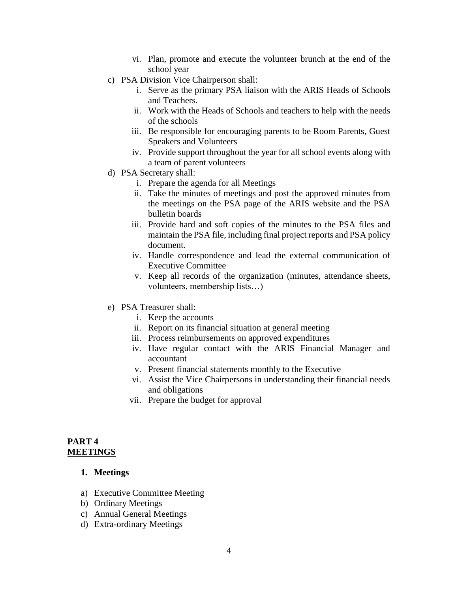- vi. Plan, promote and execute the volunteer brunch at the end of the school year
- c) PSA Division Vice Chairperson shall:
	- i. Serve as the primary PSA liaison with the ARIS Heads of Schools and Teachers.
	- ii. Work with the Heads of Schools and teachers to help with the needs of the schools
	- iii. Be responsible for encouraging parents to be Room Parents, Guest Speakers and Volunteers
	- iv. Provide support throughout the year for all school events along with a team of parent volunteers
- d) PSA Secretary shall:
	- i. Prepare the agenda for all Meetings
	- ii. Take the minutes of meetings and post the approved minutes from the meetings on the PSA page of the ARIS website and the PSA bulletin boards
	- iii. Provide hard and soft copies of the minutes to the PSA files and maintain the PSA file, including final project reports and PSA policy document.
	- iv. Handle correspondence and lead the external communication of Executive Committee
	- v. Keep all records of the organization (minutes, attendance sheets, volunteers, membership lists…)
- e) PSA Treasurer shall:
	- i. Keep the accounts
	- ii. Report on its financial situation at general meeting
	- iii. Process reimbursements on approved expenditures
	- iv. Have regular contact with the ARIS Financial Manager and accountant
	- v. Present financial statements monthly to the Executive
	- vi. Assist the Vice Chairpersons in understanding their financial needs and obligations
	- vii. Prepare the budget for approval

#### **PART 4 MEETINGS**

#### **1. Meetings**

- a) Executive Committee Meeting
- b) Ordinary Meetings
- c) Annual General Meetings
- d) Extra-ordinary Meetings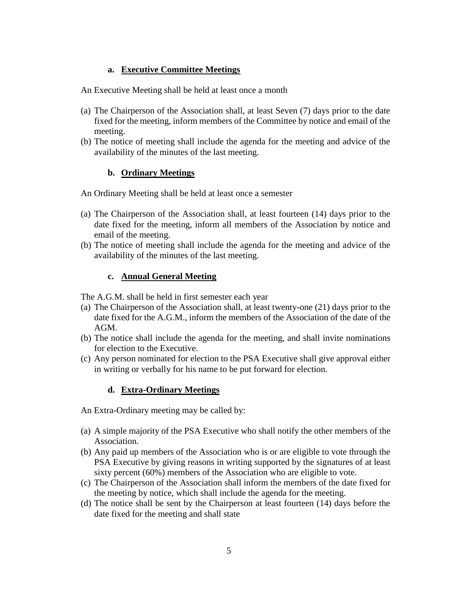### **a. Executive Committee Meetings**

An Executive Meeting shall be held at least once a month

- (a) The Chairperson of the Association shall, at least Seven (7) days prior to the date fixed for the meeting, inform members of the Committee by notice and email of the meeting.
- (b) The notice of meeting shall include the agenda for the meeting and advice of the availability of the minutes of the last meeting.

#### **b. Ordinary Meetings**

An Ordinary Meeting shall be held at least once a semester

- (a) The Chairperson of the Association shall, at least fourteen (14) days prior to the date fixed for the meeting, inform all members of the Association by notice and email of the meeting.
- (b) The notice of meeting shall include the agenda for the meeting and advice of the availability of the minutes of the last meeting.

#### **c. Annual General Meeting**

The A.G.M. shall be held in first semester each year

- (a) The Chairperson of the Association shall, at least twenty-one (21) days prior to the date fixed for the A.G.M., inform the members of the Association of the date of the AGM.
- (b) The notice shall include the agenda for the meeting, and shall invite nominations for election to the Executive.
- (c) Any person nominated for election to the PSA Executive shall give approval either in writing or verbally for his name to be put forward for election.

#### **d. Extra-Ordinary Meetings**

An Extra-Ordinary meeting may be called by:

- (a) A simple majority of the PSA Executive who shall notify the other members of the Association.
- (b) Any paid up members of the Association who is or are eligible to vote through the PSA Executive by giving reasons in writing supported by the signatures of at least sixty percent (60%) members of the Association who are eligible to vote.
- (c) The Chairperson of the Association shall inform the members of the date fixed for the meeting by notice, which shall include the agenda for the meeting.
- (d) The notice shall be sent by the Chairperson at least fourteen (14) days before the date fixed for the meeting and shall state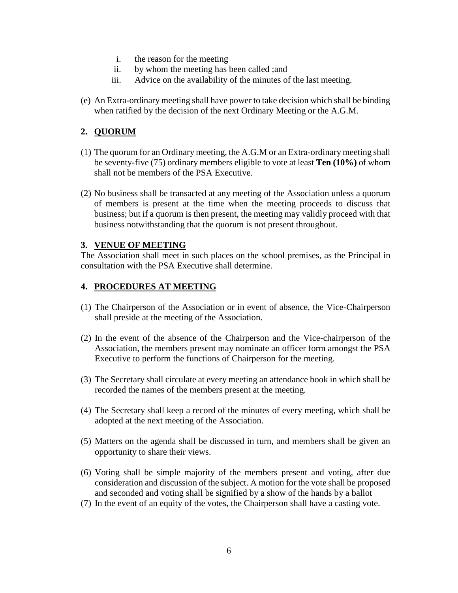- i. the reason for the meeting
- ii. by whom the meeting has been called ;and
- iii. Advice on the availability of the minutes of the last meeting.
- (e) An Extra-ordinary meeting shall have power to take decision which shall be binding when ratified by the decision of the next Ordinary Meeting or the A.G.M.

### **2. QUORUM**

- (1) The quorum for an Ordinary meeting, the A.G.M or an Extra-ordinary meeting shall be seventy-five (75) ordinary members eligible to vote at least **Ten (10%)** of whom shall not be members of the PSA Executive.
- (2) No business shall be transacted at any meeting of the Association unless a quorum of members is present at the time when the meeting proceeds to discuss that business; but if a quorum is then present, the meeting may validly proceed with that business notwithstanding that the quorum is not present throughout.

#### **3. VENUE OF MEETING**

The Association shall meet in such places on the school premises, as the Principal in consultation with the PSA Executive shall determine.

### **4. PROCEDURES AT MEETING**

- (1) The Chairperson of the Association or in event of absence, the Vice-Chairperson shall preside at the meeting of the Association.
- (2) In the event of the absence of the Chairperson and the Vice-chairperson of the Association, the members present may nominate an officer form amongst the PSA Executive to perform the functions of Chairperson for the meeting.
- (3) The Secretary shall circulate at every meeting an attendance book in which shall be recorded the names of the members present at the meeting.
- (4) The Secretary shall keep a record of the minutes of every meeting, which shall be adopted at the next meeting of the Association.
- (5) Matters on the agenda shall be discussed in turn, and members shall be given an opportunity to share their views.
- (6) Voting shall be simple majority of the members present and voting, after due consideration and discussion of the subject. A motion for the vote shall be proposed and seconded and voting shall be signified by a show of the hands by a ballot
- (7) In the event of an equity of the votes, the Chairperson shall have a casting vote.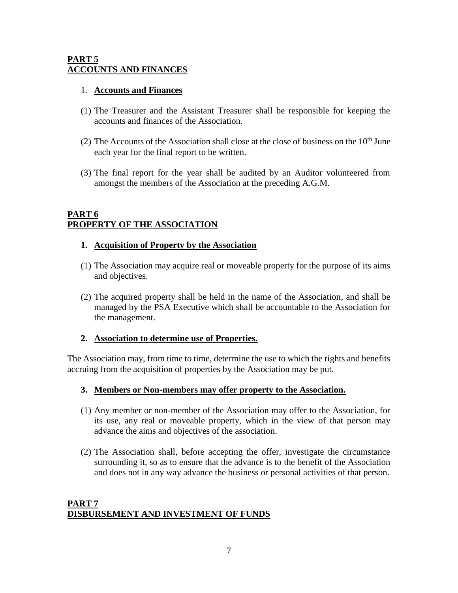### **PART 5 ACCOUNTS AND FINANCES**

### 1. **Accounts and Finances**

- (1) The Treasurer and the Assistant Treasurer shall be responsible for keeping the accounts and finances of the Association.
- (2) The Accounts of the Association shall close at the close of business on the  $10<sup>th</sup>$  June each year for the final report to be written.
- (3) The final report for the year shall be audited by an Auditor volunteered from amongst the members of the Association at the preceding A.G.M.

#### **PART 6 PROPERTY OF THE ASSOCIATION**

#### **1. Acquisition of Property by the Association**

- (1) The Association may acquire real or moveable property for the purpose of its aims and objectives.
- (2) The acquired property shall be held in the name of the Association, and shall be managed by the PSA Executive which shall be accountable to the Association for the management.

#### **2. Association to determine use of Properties.**

The Association may, from time to time, determine the use to which the rights and benefits accruing from the acquisition of properties by the Association may be put.

#### **3. Members or Non-members may offer property to the Association.**

- (1) Any member or non-member of the Association may offer to the Association, for its use, any real or moveable property, which in the view of that person may advance the aims and objectives of the association.
- (2) The Association shall, before accepting the offer, investigate the circumstance surrounding it, so as to ensure that the advance is to the benefit of the Association and does not in any way advance the business or personal activities of that person.

#### **PART 7 DISBURSEMENT AND INVESTMENT OF FUNDS**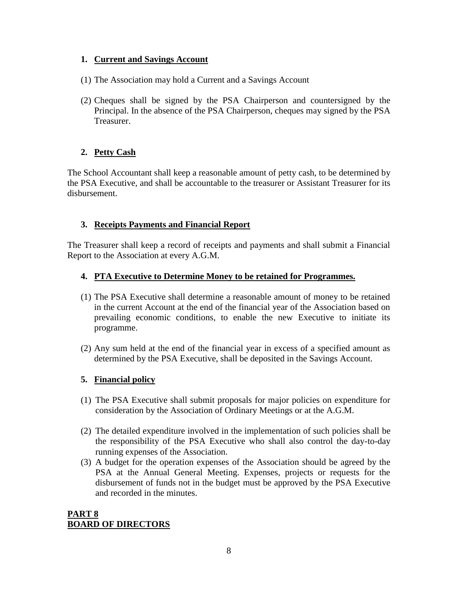### **1. Current and Savings Account**

- (1) The Association may hold a Current and a Savings Account
- (2) Cheques shall be signed by the PSA Chairperson and countersigned by the Principal. In the absence of the PSA Chairperson, cheques may signed by the PSA **Treasurer**

### **2. Petty Cash**

The School Accountant shall keep a reasonable amount of petty cash, to be determined by the PSA Executive, and shall be accountable to the treasurer or Assistant Treasurer for its disbursement.

### **3. Receipts Payments and Financial Report**

The Treasurer shall keep a record of receipts and payments and shall submit a Financial Report to the Association at every A.G.M.

### **4. PTA Executive to Determine Money to be retained for Programmes.**

- (1) The PSA Executive shall determine a reasonable amount of money to be retained in the current Account at the end of the financial year of the Association based on prevailing economic conditions, to enable the new Executive to initiate its programme.
- (2) Any sum held at the end of the financial year in excess of a specified amount as determined by the PSA Executive, shall be deposited in the Savings Account.

### **5. Financial policy**

- (1) The PSA Executive shall submit proposals for major policies on expenditure for consideration by the Association of Ordinary Meetings or at the A.G.M.
- (2) The detailed expenditure involved in the implementation of such policies shall be the responsibility of the PSA Executive who shall also control the day-to-day running expenses of the Association.
- (3) A budget for the operation expenses of the Association should be agreed by the PSA at the Annual General Meeting. Expenses, projects or requests for the disbursement of funds not in the budget must be approved by the PSA Executive and recorded in the minutes.

### **PART 8 BOARD OF DIRECTORS**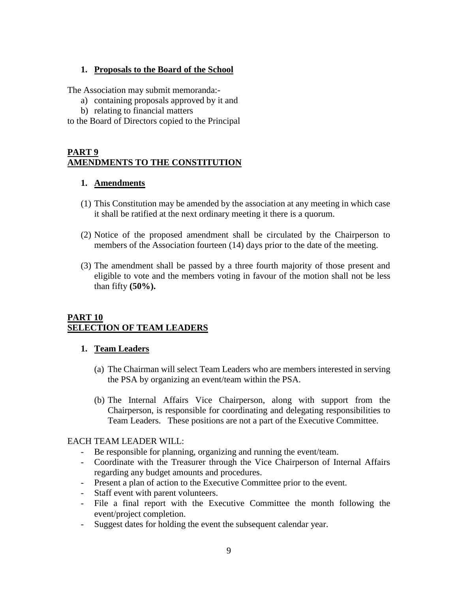### **1. Proposals to the Board of the School**

The Association may submit memoranda:-

- a) containing proposals approved by it and
- b) relating to financial matters

to the Board of Directors copied to the Principal

### **PART 9 AMENDMENTS TO THE CONSTITUTION**

#### **1. Amendments**

- (1) This Constitution may be amended by the association at any meeting in which case it shall be ratified at the next ordinary meeting it there is a quorum.
- (2) Notice of the proposed amendment shall be circulated by the Chairperson to members of the Association fourteen (14) days prior to the date of the meeting.
- (3) The amendment shall be passed by a three fourth majority of those present and eligible to vote and the members voting in favour of the motion shall not be less than fifty **(50%).**

#### **PART 10 SELECTION OF TEAM LEADERS**

#### **1. Team Leaders**

- (a) The Chairman will select Team Leaders who are members interested in serving the PSA by organizing an event/team within the PSA.
- (b) The Internal Affairs Vice Chairperson, along with support from the Chairperson, is responsible for coordinating and delegating responsibilities to Team Leaders. These positions are not a part of the Executive Committee.

#### EACH TEAM LEADER WILL:

- Be responsible for planning, organizing and running the event/team.
- Coordinate with the Treasurer through the Vice Chairperson of Internal Affairs regarding any budget amounts and procedures.
- Present a plan of action to the Executive Committee prior to the event.
- Staff event with parent volunteers.
- File a final report with the Executive Committee the month following the event/project completion.
- Suggest dates for holding the event the subsequent calendar year.